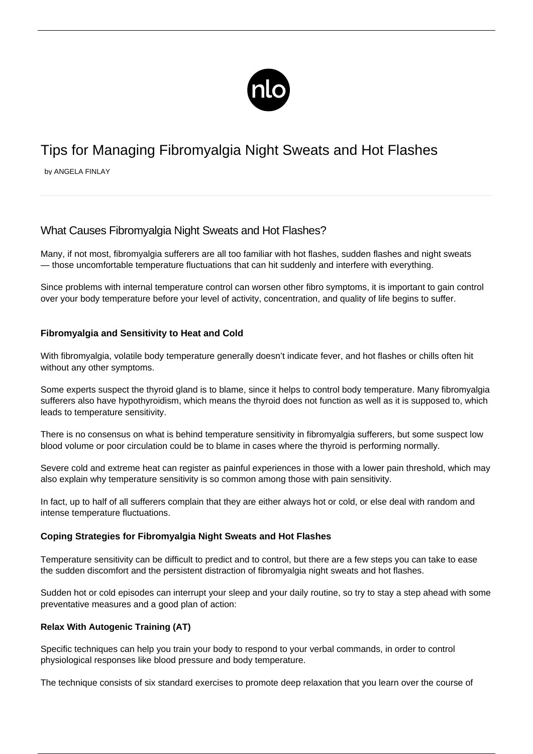

# Tips for Managing Fibromyalgia Night Sweats and Hot Flashes

by ANGELA FINLAY

## What Causes Fibromyalgia Night Sweats and Hot Flashes?

Many, if not most, fibromyalgia sufferers are all too familiar with hot flashes, sudden flashes and night sweats — those uncomfortable temperature fluctuations that can hit suddenly and interfere with everything.

Since problems with internal temperature control can worsen other fibro symptoms, it is important to gain control over your body temperature before your level of activity, concentration, and quality of life begins to suffer.

### **Fibromyalgia and Sensitivity to Heat and Cold**

With fibromyalgia, volatile body temperature generally doesn't indicate fever, and hot flashes or chills often hit without any other symptoms.

Some experts suspect the thyroid gland is to blame, since it helps to control body temperature. Many fibromyalgia sufferers also have hypothyroidism, which means the thyroid does not function as well as it is supposed to, which leads to temperature sensitivity.

There is no consensus on what is behind temperature sensitivity in fibromyalgia sufferers, but some suspect low blood volume or poor circulation could be to blame in cases where the thyroid is performing normally.

Severe cold and extreme heat can register as painful experiences in those with a lower pain threshold, which may also explain why temperature sensitivity is so common among those with pain sensitivity.

In fact, up to half of all sufferers complain that they are either always hot or cold, or else deal with random and intense temperature fluctuations.

#### **Coping Strategies for Fibromyalgia Night Sweats and Hot Flashes**

Temperature sensitivity can be difficult to predict and to control, but there are a few steps you can take to ease the sudden discomfort and the persistent distraction of fibromyalgia night sweats and hot flashes.

Sudden hot or cold episodes can interrupt your sleep and your daily routine, so try to stay a step ahead with some preventative measures and a good plan of action:

#### **Relax With Autogenic Training (AT)**

Specific techniques can help you train your body to respond to your verbal commands, in order to control physiological responses like blood pressure and body temperature.

The technique consists of six standard exercises to promote deep relaxation that you learn over the course of